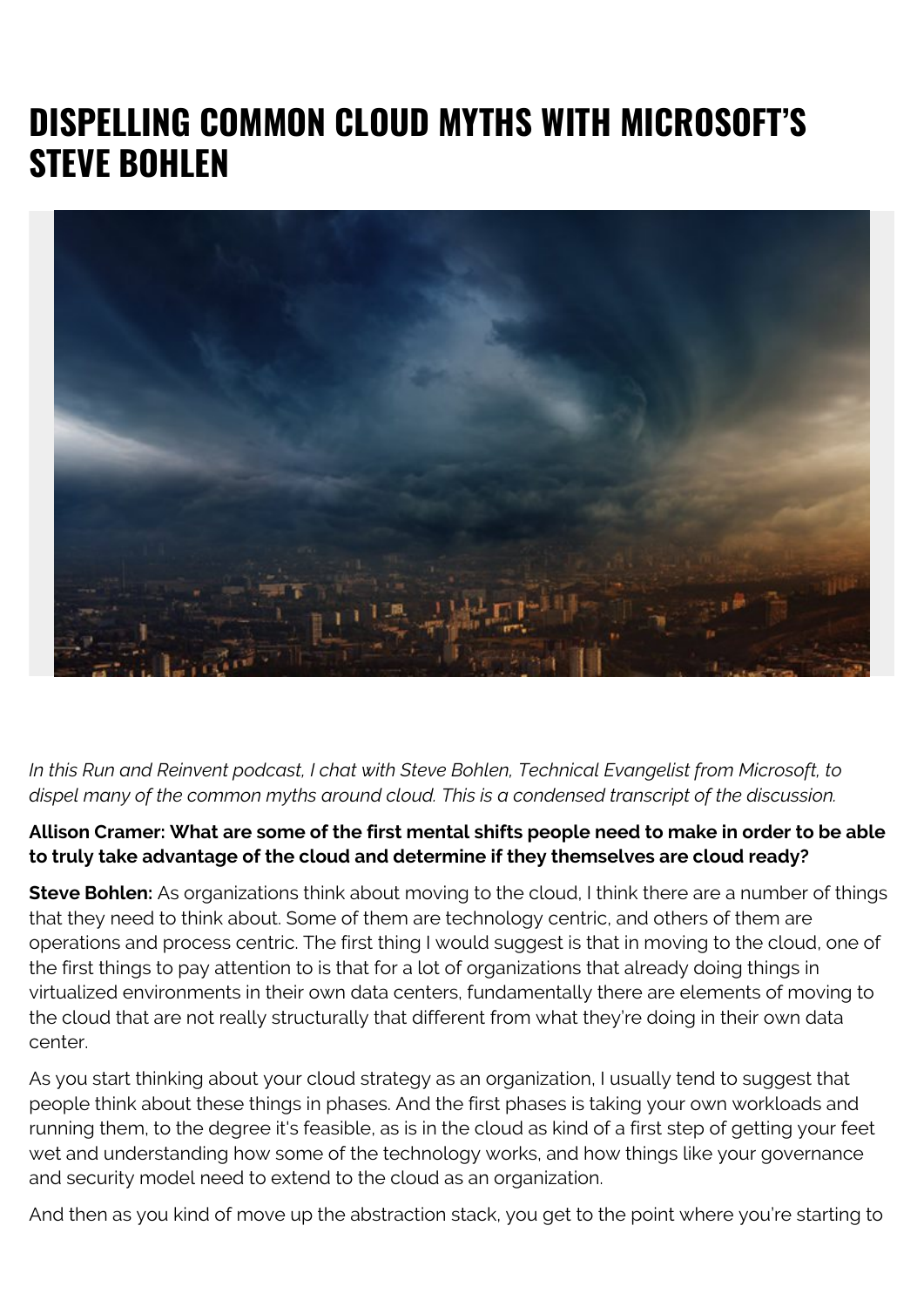# **DISPELLING COMMON CLOUD MYTHS WITH MICROSOFT'S STEVE BOHLEN**



*In this Run and Reinvent podcast, I chat with Steve Bohlen, Technical Evangelist from Microsoft, to dispel many of the common myths around cloud. This is a condensed transcript of the discussion.*

## **Allison Cramer: What are some of the first mental shifts people need to make in order to be able to truly take advantage of the cloud and determine if they themselves are cloud ready?**

**Steve Bohlen:** As organizations think about moving to the cloud, I think there are a number of things that they need to think about. Some of them are technology centric, and others of them are operations and process centric. The first thing I would suggest is that in moving to the cloud, one of the first things to pay attention to is that for a lot of organizations that already doing things in virtualized environments in their own data centers, fundamentally there are elements of moving to the cloud that are not really structurally that different from what they're doing in their own data center.

As you start thinking about your cloud strategy as an organization, I usually tend to suggest that people think about these things in phases. And the first phases is taking your own workloads and running them, to the degree it's feasible, as is in the cloud as kind of a first step of getting your feet wet and understanding how some of the technology works, and how things like your governance and security model need to extend to the cloud as an organization.

And then as you kind of move up the abstraction stack, you get to the point where you're starting to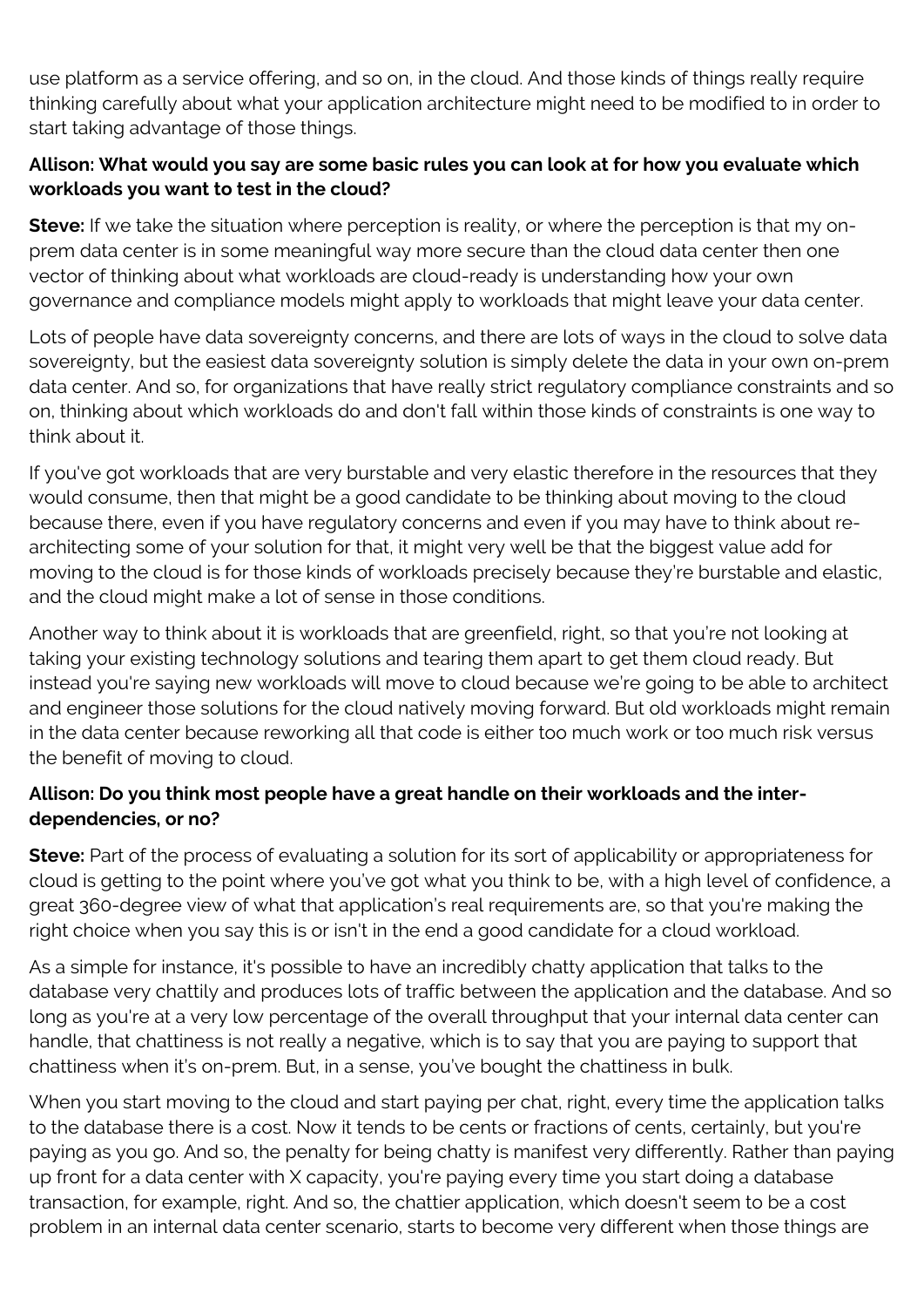use platform as a service offering, and so on, in the cloud. And those kinds of things really require thinking carefully about what your application architecture might need to be modified to in order to start taking advantage of those things.

### **Allison: What would you say are some basic rules you can look at for how you evaluate which workloads you want to test in the cloud?**

**Steve:** If we take the situation where perception is reality, or where the perception is that my onprem data center is in some meaningful way more secure than the cloud data center then one vector of thinking about what workloads are cloud-ready is understanding how your own governance and compliance models might apply to workloads that might leave your data center.

Lots of people have data sovereignty concerns, and there are lots of ways in the cloud to solve data sovereignty, but the easiest data sovereignty solution is simply delete the data in your own on-prem data center. And so, for organizations that have really strict regulatory compliance constraints and so on, thinking about which workloads do and don't fall within those kinds of constraints is one way to think about it.

If you've got workloads that are very burstable and very elastic therefore in the resources that they would consume, then that might be a good candidate to be thinking about moving to the cloud because there, even if you have regulatory concerns and even if you may have to think about rearchitecting some of your solution for that, it might very well be that the biggest value add for moving to the cloud is for those kinds of workloads precisely because they're burstable and elastic, and the cloud might make a lot of sense in those conditions.

Another way to think about it is workloads that are greenfield, right, so that you're not looking at taking your existing technology solutions and tearing them apart to get them cloud ready. But instead you're saying new workloads will move to cloud because we're going to be able to architect and engineer those solutions for the cloud natively moving forward. But old workloads might remain in the data center because reworking all that code is either too much work or too much risk versus the benefit of moving to cloud.

### **Allison: Do you think most people have a great handle on their workloads and the interdependencies, or no?**

**Steve:** Part of the process of evaluating a solution for its sort of applicability or appropriateness for cloud is getting to the point where you've got what you think to be, with a high level of confidence, a great 360-degree view of what that application's real requirements are, so that you're making the right choice when you say this is or isn't in the end a good candidate for a cloud workload.

As a simple for instance, it's possible to have an incredibly chatty application that talks to the database very chattily and produces lots of traffic between the application and the database. And so long as you're at a very low percentage of the overall throughput that your internal data center can handle, that chattiness is not really a negative, which is to say that you are paying to support that chattiness when it's on-prem. But, in a sense, you've bought the chattiness in bulk.

When you start moving to the cloud and start paying per chat, right, every time the application talks to the database there is a cost. Now it tends to be cents or fractions of cents, certainly, but you're paying as you go. And so, the penalty for being chatty is manifest very differently. Rather than paying up front for a data center with X capacity, you're paying every time you start doing a database transaction, for example, right. And so, the chattier application, which doesn't seem to be a cost problem in an internal data center scenario, starts to become very different when those things are